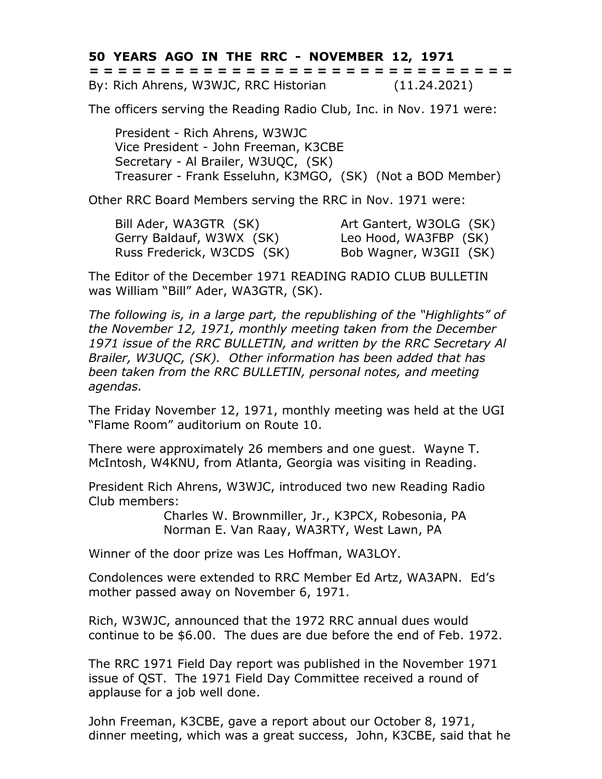**50 YEARS AGO IN THE RRC - NOVEMBER 12, 1971 = = = = = = = = = = = = = = = = = = = = = = = = = = = = = =**

By: Rich Ahrens, W3WJC, RRC Historian (11.24.2021)

The officers serving the Reading Radio Club, Inc. in Nov. 1971 were:

President - Rich Ahrens, W3WJC Vice President - John Freeman, K3CBE Secretary - Al Brailer, W3UQC, (SK) Treasurer - Frank Esseluhn, K3MGO, (SK) (Not a BOD Member)

Other RRC Board Members serving the RRC in Nov. 1971 were:

Bill Ader, WA3GTR (SK) Art Gantert, W3OLG (SK) Gerry Baldauf, W3WX (SK) Leo Hood, WA3FBP (SK) Russ Frederick, W3CDS (SK) Bob Wagner, W3GII (SK)

The Editor of the December 1971 READING RADIO CLUB BULLETIN was William "Bill" Ader, WA3GTR, (SK).

*The following is, in a large part, the republishing of the "Highlights" of the November 12, 1971, monthly meeting taken from the December 1971 issue of the RRC BULLETIN, and written by the RRC Secretary Al Brailer, W3UQC, (SK). Other information has been added that has been taken from the RRC BULLETIN, personal notes, and meeting agendas.*

The Friday November 12, 1971, monthly meeting was held at the UGI "Flame Room" auditorium on Route 10.

There were approximately 26 members and one guest. Wayne T. McIntosh, W4KNU, from Atlanta, Georgia was visiting in Reading.

President Rich Ahrens, W3WJC, introduced two new Reading Radio Club members:

> Charles W. Brownmiller, Jr., K3PCX, Robesonia, PA Norman E. Van Raay, WA3RTY, West Lawn, PA

Winner of the door prize was Les Hoffman, WA3LOY.

Condolences were extended to RRC Member Ed Artz, WA3APN. Ed's mother passed away on November 6, 1971.

Rich, W3WJC, announced that the 1972 RRC annual dues would continue to be \$6.00. The dues are due before the end of Feb. 1972.

The RRC 1971 Field Day report was published in the November 1971 issue of QST. The 1971 Field Day Committee received a round of applause for a job well done.

John Freeman, K3CBE, gave a report about our October 8, 1971, dinner meeting, which was a great success, John, K3CBE, said that he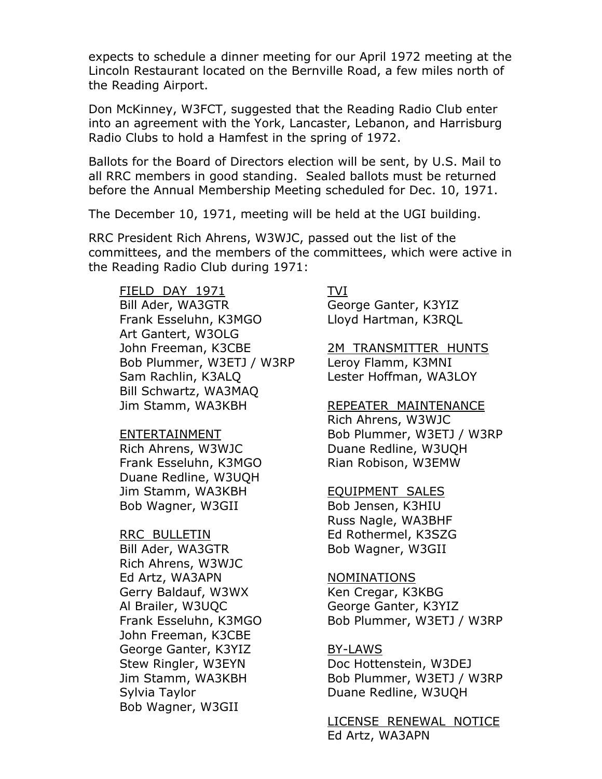expects to schedule a dinner meeting for our April 1972 meeting at the Lincoln Restaurant located on the Bernville Road, a few miles north of the Reading Airport.

Don McKinney, W3FCT, suggested that the Reading Radio Club enter into an agreement with the York, Lancaster, Lebanon, and Harrisburg Radio Clubs to hold a Hamfest in the spring of 1972.

Ballots for the Board of Directors election will be sent, by U.S. Mail to all RRC members in good standing. Sealed ballots must be returned before the Annual Membership Meeting scheduled for Dec. 10, 1971.

The December 10, 1971, meeting will be held at the UGI building.

RRC President Rich Ahrens, W3WJC, passed out the list of the committees, and the members of the committees, which were active in the Reading Radio Club during 1971:

FIELD DAY 1971 TVI Bill Ader, WA3GTR George Ganter, K3YIZ Frank Esseluhn, K3MGO Lloyd Hartman, K3RQL Art Gantert, W3OLG John Freeman, K3CBE 2M TRANSMITTER HUNTS Bob Plummer, W3ETJ / W3RP Leroy Flamm, K3MNI Sam Rachlin, K3ALQ Lester Hoffman, WA3LOY Bill Schwartz, WA3MAQ Jim Stamm, WA3KBH REPEATER MAINTENANCE

Frank Esseluhn, K3MGO Rian Robison, W3EMW Duane Redline, W3UQH Jim Stamm, WA3KBH **EQUIPMENT** SALES Bob Wagner, W3GII Bob Jensen, K3HIU

RRC BULLETIN Ed Rothermel, K3SZG Bill Ader, WA3GTR Bob Wagner, W3GII Rich Ahrens, W3WJC Ed Artz, WA3APN NOMINATIONS Gerry Baldauf, W3WX Ken Cregar, K3KBG Al Brailer, W3UOC George Ganter, K3YIZ John Freeman, K3CBE George Ganter, K3YIZ BY-LAWS Sylvia Taylor **Duane Redline, W3UQH** Bob Wagner, W3GII

Rich Ahrens, W3WJC ENTERTAINMENT Bob Plummer, W3ETJ / W3RP Rich Ahrens, W3WJC Duane Redline, W3UQH

Russ Nagle, WA3BHF

Frank Esseluhn, K3MGO Bob Plummer, W3ETJ / W3RP

Stew Ringler, W3EYN Doc Hottenstein, W3DEJ Jim Stamm, WA3KBH Bob Plummer, W3ETJ / W3RP

> LICENSE RENEWAL NOTICE Ed Artz, WA3APN